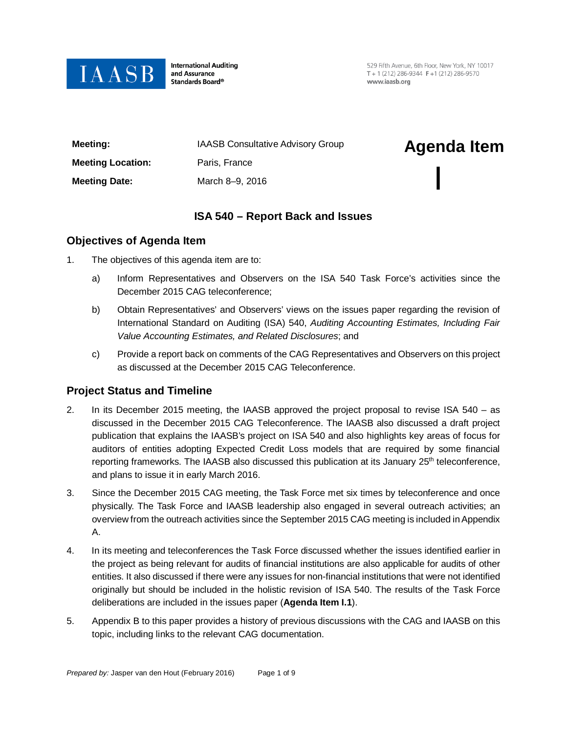

**International Auditing** and Assurance Standards Board®

529 Fifth Avenue, 6th Floor, New York, NY 10017 T + 1 (212) 286-9344  $F + 1$  (212) 286-9570 www.jaasb.org

| Meeting:                 | <b>IAASB Consultative Advisory Group</b> | <b>Agenda Item</b> |
|--------------------------|------------------------------------------|--------------------|
| <b>Meeting Location:</b> | Paris, France                            |                    |
| <b>Meeting Date:</b>     | March 8-9, 2016                          |                    |

# **ISA 540 – Report Back and Issues**

### **Objectives of Agenda Item**

- 1. The objectives of this agenda item are to:
	- a) Inform Representatives and Observers on the ISA 540 Task Force's activities since the December 2015 CAG teleconference;
	- b) Obtain Representatives' and Observers' views on the issues paper regarding the revision of International Standard on Auditing (ISA) 540, *Auditing Accounting Estimates, Including Fair Value Accounting Estimates, and Related Disclosures*; and
	- c) Provide a report back on comments of the CAG Representatives and Observers on this project as discussed at the December 2015 CAG Teleconference.

### **Project Status and Timeline**

- 2. In its December 2015 meeting, the IAASB approved the project proposal to revise ISA 540 as discussed in the December 2015 CAG Teleconference. The IAASB also discussed a draft project publication that explains the IAASB's project on ISA 540 and also highlights key areas of focus for auditors of entities adopting Expected Credit Loss models that are required by some financial reporting frameworks. The IAASB also discussed this publication at its January 25<sup>th</sup> teleconference, and plans to issue it in early March 2016.
- 3. Since the December 2015 CAG meeting, the Task Force met six times by teleconference and once physically. The Task Force and IAASB leadership also engaged in several outreach activities; an overview from the outreach activities since the September 2015 CAG meeting is included in Appendix A.
- 4. In its meeting and teleconferences the Task Force discussed whether the issues identified earlier in the project as being relevant for audits of financial institutions are also applicable for audits of other entities. It also discussed if there were any issues for non-financial institutions that were not identified originally but should be included in the holistic revision of ISA 540. The results of the Task Force deliberations are included in the issues paper (**Agenda Item I.1**).
- 5. Appendix B to this paper provides a history of previous discussions with the CAG and IAASB on this topic, including links to the relevant CAG documentation.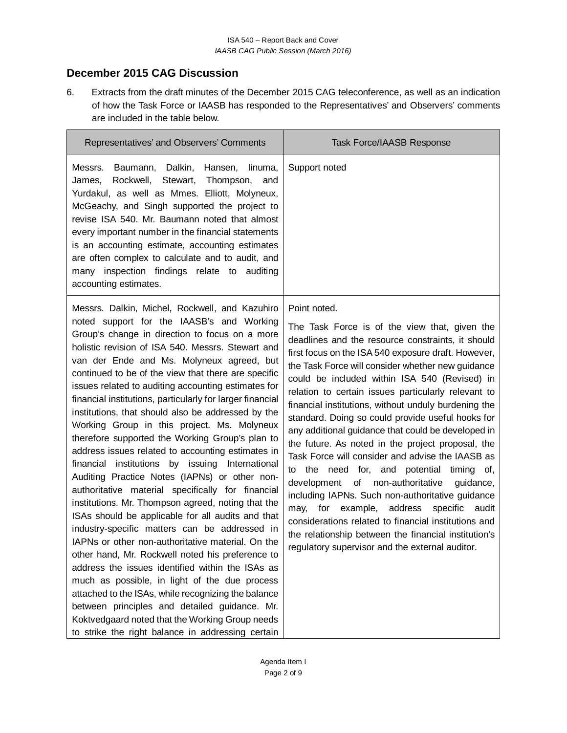# **December 2015 CAG Discussion**

6. Extracts from the draft minutes of the December 2015 CAG teleconference, as well as an indication of how the Task Force or IAASB has responded to the Representatives' and Observers' comments are included in the table below.

| Representatives' and Observers' Comments                                                                                                                                                                                                                                                                                                                                                                                                                                   | Task Force/IAASB Response                                                                                                                                                                                                      |
|----------------------------------------------------------------------------------------------------------------------------------------------------------------------------------------------------------------------------------------------------------------------------------------------------------------------------------------------------------------------------------------------------------------------------------------------------------------------------|--------------------------------------------------------------------------------------------------------------------------------------------------------------------------------------------------------------------------------|
| Messrs. Baumann, Dalkin, Hansen, linuma,<br>James, Rockwell, Stewart, Thompson, and<br>Yurdakul, as well as Mmes. Elliott, Molyneux,<br>McGeachy, and Singh supported the project to<br>revise ISA 540. Mr. Baumann noted that almost<br>every important number in the financial statements<br>is an accounting estimate, accounting estimates<br>are often complex to calculate and to audit, and<br>many inspection findings relate to auditing<br>accounting estimates. | Support noted                                                                                                                                                                                                                  |
| Messrs. Dalkin, Michel, Rockwell, and Kazuhiro<br>noted support for the IAASB's and Working<br>Group's change in direction to focus on a more<br>holistic revision of ISA 540. Messrs. Stewart and<br>van der Ende and Ms. Molyneux agreed, but<br>continued to be of the view that there are specific                                                                                                                                                                     | Point noted.<br>The Task Force is of the view that, given the<br>deadlines and the resource constraints, it should<br>first focus on the ISA 540 exposure draft. However,<br>the Task Force will consider whether new guidance |

continued to be of the view that there are specific issues related to auditing accounting estimates for financial institutions, particularly for larger financial institutions, that should also be addressed by the Working Group in this project. Ms. Molyneux therefore supported the Working Group's plan to address issues related to accounting estimates in financial institutions by issuing International Auditing Practice Notes (IAPNs) or other nonauthoritative material specifically for financial institutions. Mr. Thompson agreed, noting that the ISAs should be applicable for all audits and that industry-specific matters can be addressed in IAPNs or other non-authoritative material. On the other hand, Mr. Rockwell noted his preference to address the issues identified within the ISAs as much as possible, in light of the due process attached to the ISAs, while recognizing the balance between principles and detailed guidance. Mr. Koktvedgaard noted that the Working Group needs to strike the right balance in addressing certain

could be included within ISA 540 (Revised) in relation to certain issues particularly relevant to financial institutions, without unduly burdening the standard. Doing so could provide useful hooks for any additional guidance that could be developed in the future. As noted in the project proposal, the Task Force will consider and advise the IAASB as to the need for, and potential timing of, development of non-authoritative guidance, including IAPNs. Such non-authoritative guidance may, for example, address specific audit considerations related to financial institutions and the relationship between the financial institution's regulatory supervisor and the external auditor.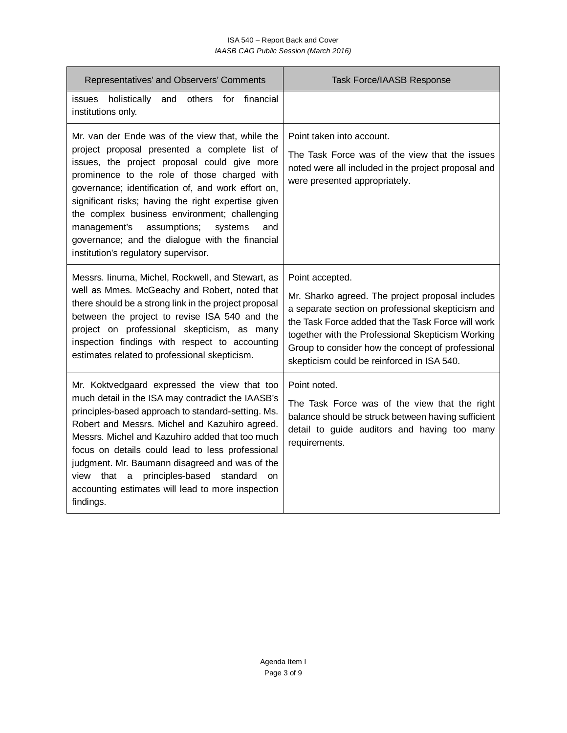#### ISA 540 – Report Back and Cover *IAASB CAG Public Session (March 2016)*

| Representatives' and Observers' Comments                                                                                                                                                                                                                                                                                                                                                                                                                                                                     | <b>Task Force/IAASB Response</b>                                                                                                                                                                                                                                                                                                       |
|--------------------------------------------------------------------------------------------------------------------------------------------------------------------------------------------------------------------------------------------------------------------------------------------------------------------------------------------------------------------------------------------------------------------------------------------------------------------------------------------------------------|----------------------------------------------------------------------------------------------------------------------------------------------------------------------------------------------------------------------------------------------------------------------------------------------------------------------------------------|
| issues holistically<br>for<br>financial<br>and<br>others<br>institutions only.                                                                                                                                                                                                                                                                                                                                                                                                                               |                                                                                                                                                                                                                                                                                                                                        |
| Mr. van der Ende was of the view that, while the<br>project proposal presented a complete list of<br>issues, the project proposal could give more<br>prominence to the role of those charged with<br>governance; identification of, and work effort on,<br>significant risks; having the right expertise given<br>the complex business environment; challenging<br>management's<br>assumptions;<br>systems<br>and<br>governance; and the dialogue with the financial<br>institution's regulatory supervisor. | Point taken into account.<br>The Task Force was of the view that the issues<br>noted were all included in the project proposal and<br>were presented appropriately.                                                                                                                                                                    |
| Messrs. Iinuma, Michel, Rockwell, and Stewart, as<br>well as Mmes. McGeachy and Robert, noted that<br>there should be a strong link in the project proposal<br>between the project to revise ISA 540 and the<br>project on professional skepticism, as many<br>inspection findings with respect to accounting<br>estimates related to professional skepticism.                                                                                                                                               | Point accepted.<br>Mr. Sharko agreed. The project proposal includes<br>a separate section on professional skepticism and<br>the Task Force added that the Task Force will work<br>together with the Professional Skepticism Working<br>Group to consider how the concept of professional<br>skepticism could be reinforced in ISA 540. |
| Mr. Koktvedgaard expressed the view that too<br>much detail in the ISA may contradict the IAASB's<br>principles-based approach to standard-setting. Ms.<br>Robert and Messrs. Michel and Kazuhiro agreed.<br>Messrs. Michel and Kazuhiro added that too much<br>focus on details could lead to less professional<br>judgment. Mr. Baumann disagreed and was of the<br>principles-based<br>that<br>standard<br>view<br>a<br>on<br>accounting estimates will lead to more inspection<br>findings.              | Point noted.<br>The Task Force was of the view that the right<br>balance should be struck between having sufficient<br>detail to guide auditors and having too many<br>requirements.                                                                                                                                                   |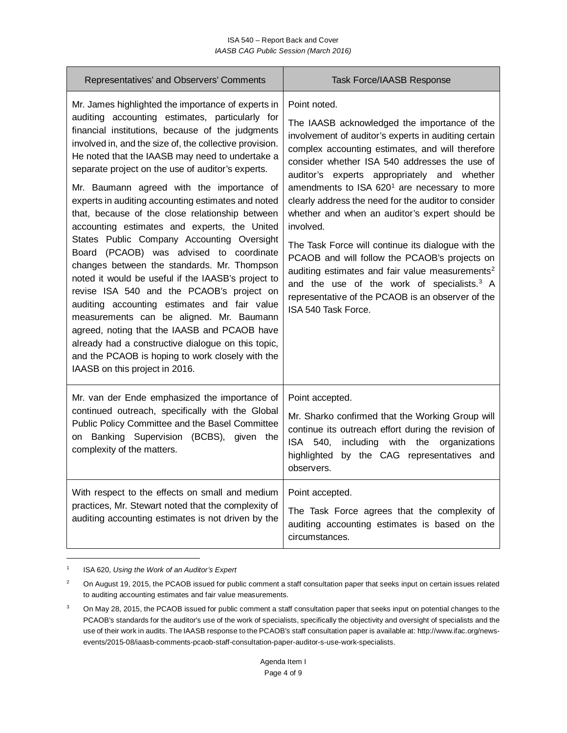| Representatives' and Observers' Comments                                                                                                                                                                                                                                                                                                                                                                                                                                                                                                                                                                                                                                                                                                                                                                                                                                                                                                                                                                                                                              | <b>Task Force/IAASB Response</b>                                                                                                                                                                                                                                                                                                                                                                                                                                                                                                                                                                                                                                                                                                                                        |
|-----------------------------------------------------------------------------------------------------------------------------------------------------------------------------------------------------------------------------------------------------------------------------------------------------------------------------------------------------------------------------------------------------------------------------------------------------------------------------------------------------------------------------------------------------------------------------------------------------------------------------------------------------------------------------------------------------------------------------------------------------------------------------------------------------------------------------------------------------------------------------------------------------------------------------------------------------------------------------------------------------------------------------------------------------------------------|-------------------------------------------------------------------------------------------------------------------------------------------------------------------------------------------------------------------------------------------------------------------------------------------------------------------------------------------------------------------------------------------------------------------------------------------------------------------------------------------------------------------------------------------------------------------------------------------------------------------------------------------------------------------------------------------------------------------------------------------------------------------------|
| Mr. James highlighted the importance of experts in<br>auditing accounting estimates, particularly for<br>financial institutions, because of the judgments<br>involved in, and the size of, the collective provision.<br>He noted that the IAASB may need to undertake a<br>separate project on the use of auditor's experts.<br>Mr. Baumann agreed with the importance of<br>experts in auditing accounting estimates and noted<br>that, because of the close relationship between<br>accounting estimates and experts, the United<br>States Public Company Accounting Oversight<br>Board (PCAOB) was advised to coordinate<br>changes between the standards. Mr. Thompson<br>noted it would be useful if the IAASB's project to<br>revise ISA 540 and the PCAOB's project on<br>auditing accounting estimates and fair value<br>measurements can be aligned. Mr. Baumann<br>agreed, noting that the IAASB and PCAOB have<br>already had a constructive dialogue on this topic,<br>and the PCAOB is hoping to work closely with the<br>IAASB on this project in 2016. | Point noted.<br>The IAASB acknowledged the importance of the<br>involvement of auditor's experts in auditing certain<br>complex accounting estimates, and will therefore<br>consider whether ISA 540 addresses the use of<br>auditor's experts appropriately and whether<br>amendments to ISA 620 <sup>1</sup> are necessary to more<br>clearly address the need for the auditor to consider<br>whether and when an auditor's expert should be<br>involved.<br>The Task Force will continue its dialogue with the<br>PCAOB and will follow the PCAOB's projects on<br>auditing estimates and fair value measurements <sup>2</sup><br>and the use of the work of specialists. <sup>3</sup> A<br>representative of the PCAOB is an observer of the<br>ISA 540 Task Force. |
| Mr. van der Ende emphasized the importance of<br>continued outreach, specifically with the Global<br>Public Policy Committee and the Basel Committee<br>on Banking Supervision (BCBS), given the<br>complexity of the matters.                                                                                                                                                                                                                                                                                                                                                                                                                                                                                                                                                                                                                                                                                                                                                                                                                                        | Point accepted.<br>Mr. Sharko confirmed that the Working Group will<br>continue its outreach effort during the revision of<br>ISA 540,<br>with<br>the<br>including<br>organizations<br>by the CAG representatives and<br>highlighted<br>observers.                                                                                                                                                                                                                                                                                                                                                                                                                                                                                                                      |
| With respect to the effects on small and medium<br>practices, Mr. Stewart noted that the complexity of<br>auditing accounting estimates is not driven by the                                                                                                                                                                                                                                                                                                                                                                                                                                                                                                                                                                                                                                                                                                                                                                                                                                                                                                          | Point accepted.<br>The Task Force agrees that the complexity of<br>auditing accounting estimates is based on the<br>circumstances.                                                                                                                                                                                                                                                                                                                                                                                                                                                                                                                                                                                                                                      |

<span id="page-3-0"></span><sup>1</sup> ISA 620, *Using the Work of an Auditor's Expert*

 $\overline{a}$ 

<span id="page-3-1"></span><sup>&</sup>lt;sup>2</sup> On August 19, 2015, the PCAOB issued for public comment a staff consultation paper that seeks input on certain issues related to auditing accounting estimates and fair value measurements.

<span id="page-3-2"></span><sup>3</sup> On May 28, 2015, the PCAOB issued for public comment a staff consultation paper that seeks input on potential changes to the PCAOB's standards for the auditor's use of the work of specialists, specifically the objectivity and oversight of specialists and the use of their work in audits. The IAASB response to the PCAOB's staff consultation paper is available at[: http://www.ifac.org/news](http://www.ifac.org/news-events/2015-08/iaasb-comments-pcaob-staff-consultation-paper-auditor-s-use-work-specialists)[events/2015-08/iaasb-comments-pcaob-staff-consultation-paper-auditor-s-use-work-specialists.](http://www.ifac.org/news-events/2015-08/iaasb-comments-pcaob-staff-consultation-paper-auditor-s-use-work-specialists)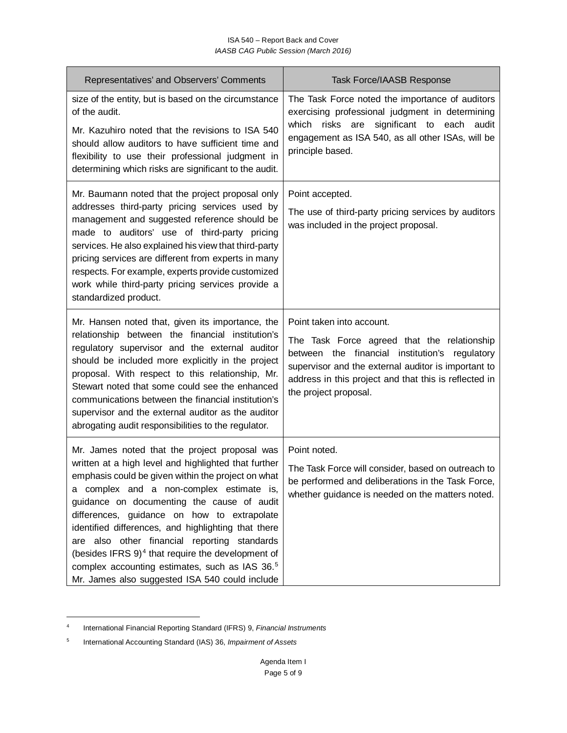| Representatives' and Observers' Comments                                                                                                                                                                                                                                                                                                                                                                                                                                                                                                                                         | <b>Task Force/IAASB Response</b>                                                                                                                                                                                                                                    |
|----------------------------------------------------------------------------------------------------------------------------------------------------------------------------------------------------------------------------------------------------------------------------------------------------------------------------------------------------------------------------------------------------------------------------------------------------------------------------------------------------------------------------------------------------------------------------------|---------------------------------------------------------------------------------------------------------------------------------------------------------------------------------------------------------------------------------------------------------------------|
| size of the entity, but is based on the circumstance<br>of the audit.<br>Mr. Kazuhiro noted that the revisions to ISA 540<br>should allow auditors to have sufficient time and<br>flexibility to use their professional judgment in<br>determining which risks are significant to the audit.                                                                                                                                                                                                                                                                                     | The Task Force noted the importance of auditors<br>exercising professional judgment in determining<br>which risks are<br>significant to<br>each<br>audit<br>engagement as ISA 540, as all other ISAs, will be<br>principle based.                                   |
| Mr. Baumann noted that the project proposal only<br>addresses third-party pricing services used by<br>management and suggested reference should be<br>made to auditors' use of third-party pricing<br>services. He also explained his view that third-party<br>pricing services are different from experts in many<br>respects. For example, experts provide customized<br>work while third-party pricing services provide a<br>standardized product.                                                                                                                            | Point accepted.<br>The use of third-party pricing services by auditors<br>was included in the project proposal.                                                                                                                                                     |
| Mr. Hansen noted that, given its importance, the<br>relationship between the financial institution's<br>regulatory supervisor and the external auditor<br>should be included more explicitly in the project<br>proposal. With respect to this relationship, Mr.<br>Stewart noted that some could see the enhanced<br>communications between the financial institution's<br>supervisor and the external auditor as the auditor<br>abrogating audit responsibilities to the regulator.                                                                                             | Point taken into account.<br>The Task Force agreed that the relationship<br>between the financial institution's regulatory<br>supervisor and the external auditor is important to<br>address in this project and that this is reflected in<br>the project proposal. |
| Mr. James noted that the project proposal was<br>written at a high level and highlighted that further<br>emphasis could be given within the project on what<br>a complex and a non-complex estimate is,<br>guidance on documenting the cause of audit<br>differences, guidance on how to extrapolate<br>identified differences, and highlighting that there<br>are also other financial reporting standards<br>(besides IFRS 9) <sup>4</sup> that require the development of<br>complex accounting estimates, such as IAS 36.5<br>Mr. James also suggested ISA 540 could include | Point noted.<br>The Task Force will consider, based on outreach to<br>be performed and deliberations in the Task Force,<br>whether guidance is needed on the matters noted.                                                                                         |

<span id="page-4-0"></span> $\overline{4}$ <sup>4</sup> International Financial Reporting Standard (IFRS) 9, *Financial Instruments*

<span id="page-4-1"></span><sup>5</sup> International Accounting Standard (IAS) 36, *Impairment of Assets*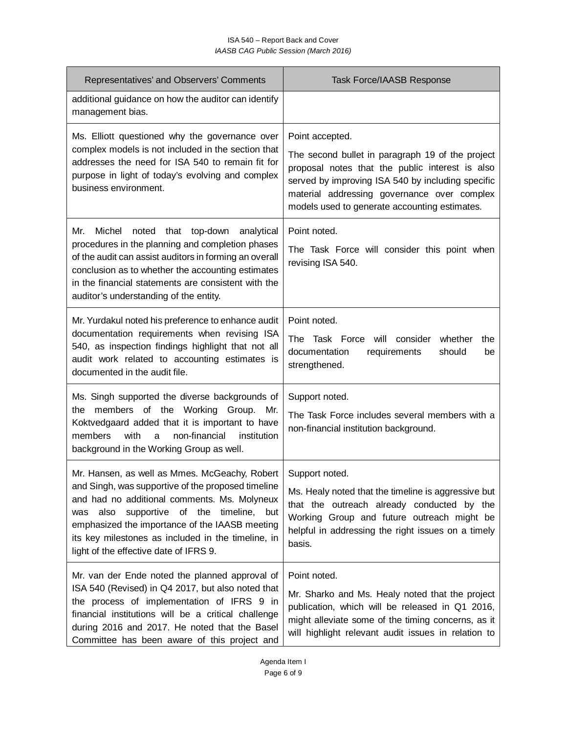#### ISA 540 – Report Back and Cover *IAASB CAG Public Session (March 2016)*

| Representatives' and Observers' Comments                                                                                                                                                                                                                                                                               | <b>Task Force/IAASB Response</b>                                                                                                                                                                                                                         |
|------------------------------------------------------------------------------------------------------------------------------------------------------------------------------------------------------------------------------------------------------------------------------------------------------------------------|----------------------------------------------------------------------------------------------------------------------------------------------------------------------------------------------------------------------------------------------------------|
| additional guidance on how the auditor can identify<br>management bias.                                                                                                                                                                                                                                                |                                                                                                                                                                                                                                                          |
| Ms. Elliott questioned why the governance over                                                                                                                                                                                                                                                                         | Point accepted.                                                                                                                                                                                                                                          |
| complex models is not included in the section that<br>addresses the need for ISA 540 to remain fit for<br>purpose in light of today's evolving and complex<br>business environment.                                                                                                                                    | The second bullet in paragraph 19 of the project<br>proposal notes that the public interest is also<br>served by improving ISA 540 by including specific<br>material addressing governance over complex<br>models used to generate accounting estimates. |
| Mr.<br>Michel<br>noted<br>that top-down analytical<br>procedures in the planning and completion phases<br>of the audit can assist auditors in forming an overall<br>conclusion as to whether the accounting estimates<br>in the financial statements are consistent with the<br>auditor's understanding of the entity. | Point noted.<br>The Task Force will consider this point when<br>revising ISA 540.                                                                                                                                                                        |
| Mr. Yurdakul noted his preference to enhance audit                                                                                                                                                                                                                                                                     | Point noted.                                                                                                                                                                                                                                             |
| documentation requirements when revising ISA<br>540, as inspection findings highlight that not all<br>audit work related to accounting estimates is<br>documented in the audit file.                                                                                                                                   | The Task Force will consider whether<br>the<br>documentation<br>requirements<br>should<br>be<br>strengthened.                                                                                                                                            |
| Ms. Singh supported the diverse backgrounds of<br>members of the Working Group. Mr.<br>the<br>Koktvedgaard added that it is important to have<br>with<br>non-financial<br>members<br>institution<br>a<br>background in the Working Group as well.                                                                      | Support noted.<br>The Task Force includes several members with a<br>non-financial institution background.                                                                                                                                                |
| Mr. Hansen, as well as Mmes. McGeachy, Robert                                                                                                                                                                                                                                                                          | Support noted.                                                                                                                                                                                                                                           |
| and Singh, was supportive of the proposed timeline<br>and had no additional comments. Ms. Molyneux<br>supportive of the timeline, but<br>also<br>was<br>emphasized the importance of the IAASB meeting<br>its key milestones as included in the timeline, in<br>light of the effective date of IFRS 9.                 | Ms. Healy noted that the timeline is aggressive but<br>that the outreach already conducted by the<br>Working Group and future outreach might be<br>helpful in addressing the right issues on a timely<br>basis.                                          |
| Mr. van der Ende noted the planned approval of<br>ISA 540 (Revised) in Q4 2017, but also noted that<br>the process of implementation of IFRS 9 in<br>financial institutions will be a critical challenge<br>during 2016 and 2017. He noted that the Basel<br>Committee has been aware of this project and              | Point noted.<br>Mr. Sharko and Ms. Healy noted that the project<br>publication, which will be released in Q1 2016,<br>might alleviate some of the timing concerns, as it<br>will highlight relevant audit issues in relation to                          |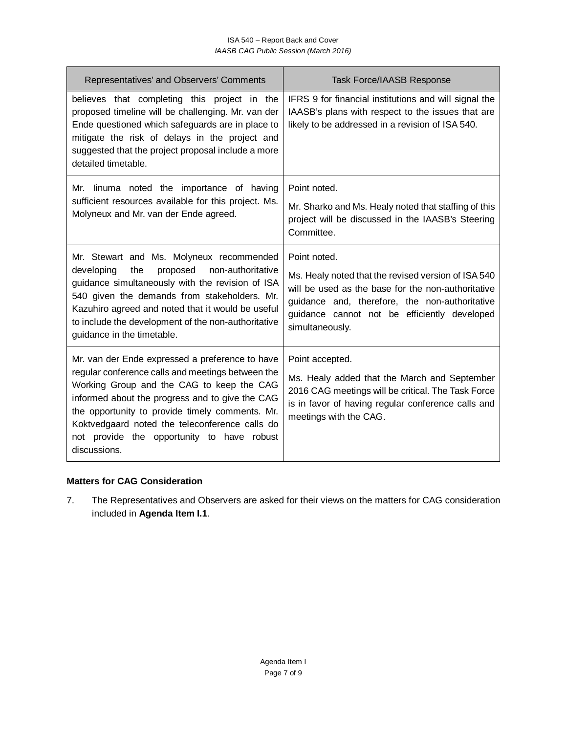| Representatives' and Observers' Comments                                                                                                                                                                                                                                                                             | <b>Task Force/IAASB Response</b>                                                                                                                                                                                               |
|----------------------------------------------------------------------------------------------------------------------------------------------------------------------------------------------------------------------------------------------------------------------------------------------------------------------|--------------------------------------------------------------------------------------------------------------------------------------------------------------------------------------------------------------------------------|
| believes that completing this project in the<br>proposed timeline will be challenging. Mr. van der<br>Ende questioned which safeguards are in place to<br>mitigate the risk of delays in the project and<br>suggested that the project proposal include a more<br>detailed timetable.                                | IFRS 9 for financial institutions and will signal the<br>IAASB's plans with respect to the issues that are<br>likely to be addressed in a revision of ISA 540.                                                                 |
| Mr. linuma noted the importance of having                                                                                                                                                                                                                                                                            | Point noted.                                                                                                                                                                                                                   |
| sufficient resources available for this project. Ms.<br>Molyneux and Mr. van der Ende agreed.                                                                                                                                                                                                                        | Mr. Sharko and Ms. Healy noted that staffing of this<br>project will be discussed in the IAASB's Steering<br>Committee.                                                                                                        |
| Mr. Stewart and Ms. Molyneux recommended                                                                                                                                                                                                                                                                             | Point noted.                                                                                                                                                                                                                   |
| non-authoritative<br>developing<br>the<br>proposed<br>guidance simultaneously with the revision of ISA<br>540 given the demands from stakeholders. Mr.<br>Kazuhiro agreed and noted that it would be useful<br>to include the development of the non-authoritative<br>guidance in the timetable.                     | Ms. Healy noted that the revised version of ISA 540<br>will be used as the base for the non-authoritative<br>guidance and, therefore, the non-authoritative<br>guidance cannot not be efficiently developed<br>simultaneously. |
| Mr. van der Ende expressed a preference to have                                                                                                                                                                                                                                                                      | Point accepted.                                                                                                                                                                                                                |
| regular conference calls and meetings between the<br>Working Group and the CAG to keep the CAG<br>informed about the progress and to give the CAG<br>the opportunity to provide timely comments. Mr.<br>Koktvedgaard noted the teleconference calls do<br>not provide the opportunity to have robust<br>discussions. | Ms. Healy added that the March and September<br>2016 CAG meetings will be critical. The Task Force<br>is in favor of having regular conference calls and<br>meetings with the CAG.                                             |

### **Matters for CAG Consideration**

7. The Representatives and Observers are asked for their views on the matters for CAG consideration included in **Agenda Item I.1**.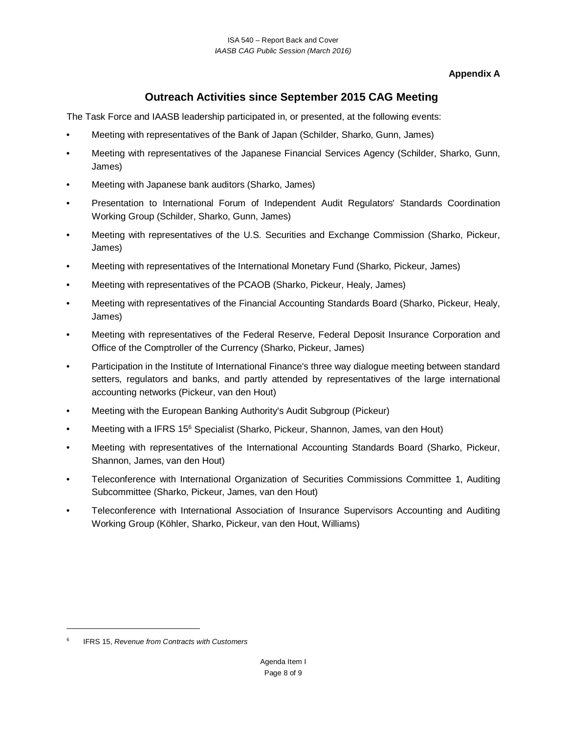**Appendix A**

# **Outreach Activities since September 2015 CAG Meeting**

The Task Force and IAASB leadership participated in, or presented, at the following events:

- Meeting with representatives of the Bank of Japan (Schilder, Sharko, Gunn, James)
- Meeting with representatives of the Japanese Financial Services Agency (Schilder, Sharko, Gunn, James)
- Meeting with Japanese bank auditors (Sharko, James)
- Presentation to International Forum of Independent Audit Regulators' Standards Coordination Working Group (Schilder, Sharko, Gunn, James)
- Meeting with representatives of the U.S. Securities and Exchange Commission (Sharko, Pickeur, James)
- Meeting with representatives of the International Monetary Fund (Sharko, Pickeur, James)
- Meeting with representatives of the PCAOB (Sharko, Pickeur, Healy, James)
- Meeting with representatives of the Financial Accounting Standards Board (Sharko, Pickeur, Healy, James)
- Meeting with representatives of the Federal Reserve, Federal Deposit Insurance Corporation and Office of the Comptroller of the Currency (Sharko, Pickeur, James)
- Participation in the Institute of International Finance's three way dialogue meeting between standard setters, regulators and banks, and partly attended by representatives of the large international accounting networks (Pickeur, van den Hout)
- Meeting with the European Banking Authority's Audit Subgroup (Pickeur)
- Meeting with a IFRS 15<sup>[6](#page-7-0)</sup> Specialist (Sharko, Pickeur, Shannon, James, van den Hout)
- Meeting with representatives of the International Accounting Standards Board (Sharko, Pickeur, Shannon, James, van den Hout)
- Teleconference with International Organization of Securities Commissions Committee 1, Auditing Subcommittee (Sharko, Pickeur, James, van den Hout)
- Teleconference with International Association of Insurance Supervisors Accounting and Auditing Working Group (Köhler, Sharko, Pickeur, van den Hout, Williams)

 $\overline{a}$ 

<span id="page-7-0"></span><sup>6</sup> IFRS 15, *Revenue from Contracts with Customers*